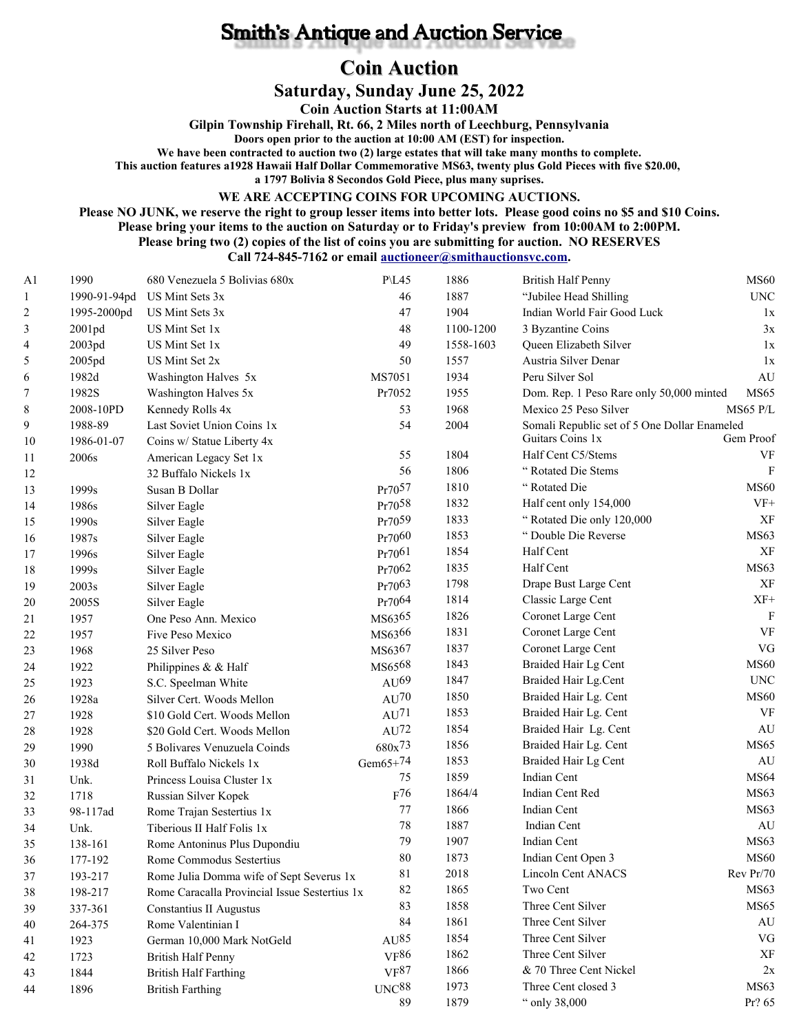## **Smith's Antique and Auction Service**

## **Coin Auction**

**Saturday, Sunday June 25, 2022**

**Coin Auction Starts at 11:00AM**

**Gilpin Township Firehall, Rt. 66, 2 Miles north of Leechburg, Pennsylvania**

**Doors open prior to the auction at 10:00 AM (EST) for inspection.**

**We have been contracted to auction two (2) large estates that will take many months to complete.**

**This auction features a1928 Hawaii Half Dollar Commemorative MS63, twenty plus Gold Pieces with five \$20.00,** 

**a 1797 Bolivia 8 Secondos Gold Piece, plus many suprises.**

**WE ARE ACCEPTING COINS FOR UPCOMING AUCTIONS.**

**Please NO JUNK, we reserve the right to group lesser items into better lots. Please good coins no \$5 and \$10 Coins. Please bring your items to the auction on Saturday or to Friday's preview from 10:00AM to 2:00PM.**

**Please bring two (2) copies of the list of coins you are submitting for auction. NO RESERVES**

**Call 724-845-7162 or email [auctioneer@smithauctionsvc.com.](mailto:auctioneer@smithauctionsvc.com)**

| A <sub>1</sub> | 1990              | 680 Venezuela 5 Bolivias 680x                 | <b>P</b> \L45      | 1886      | <b>British Half Penny</b>                    | <b>MS60</b>               |
|----------------|-------------------|-----------------------------------------------|--------------------|-----------|----------------------------------------------|---------------------------|
| $\mathbf{1}$   | 1990-91-94pd      | US Mint Sets 3x                               | 46                 | 1887      | "Jubilee Head Shilling                       | $\ensuremath{\text{UNC}}$ |
| 2              | 1995-2000pd       | US Mint Sets 3x                               | 47                 | 1904      | Indian World Fair Good Luck                  | 1x                        |
| 3              | 2001pd            | US Mint Set 1x                                | 48                 | 1100-1200 | 3 Byzantine Coins                            | 3x                        |
| 4              | 2003pd            | US Mint Set 1x                                | 49                 | 1558-1603 | Queen Elizabeth Silver                       | 1x                        |
| 5              | 2005pd            | US Mint Set 2x                                | 50                 | 1557      | Austria Silver Denar                         | 1x                        |
| 6              | 1982d             | Washington Halves 5x                          | MS7051             | 1934      | Peru Silver Sol                              | $\mathrm{AU}$             |
| 7              | 1982S             | Washington Halves 5x                          | Pr7052             | 1955      | Dom. Rep. 1 Peso Rare only 50,000 minted     | <b>MS65</b>               |
| 8              | 2008-10PD         | Kennedy Rolls 4x                              | 53                 | 1968      | Mexico 25 Peso Silver                        | MS65 P/L                  |
| 9              | 1988-89           | Last Soviet Union Coins 1x                    | 54                 | 2004      | Somali Republic set of 5 One Dollar Enameled |                           |
| 10             | 1986-01-07        | Coins w/ Statue Liberty 4x                    |                    |           | Guitars Coins 1x                             | Gem Proof                 |
| 11             | 2006s             | American Legacy Set 1x                        | 55                 | 1804      | Half Cent C5/Stems                           | VF                        |
| 12             |                   | 32 Buffalo Nickels 1x                         | 56                 | 1806      | "Rotated Die Stems                           | $\mathbf{F}$              |
| 13             | 1999 <sub>s</sub> | Susan B Dollar                                | Pr7057             | 1810      | "Rotated Die                                 | <b>MS60</b>               |
| 14             | 1986s             | Silver Eagle                                  | Pr7058             | 1832      | Half cent only 154,000                       | $VF+$                     |
| 15             | 1990s             | Silver Eagle                                  | Pr7059             | 1833      | "Rotated Die only 120,000                    | XF                        |
| 16             | 1987s             | Silver Eagle                                  | Pr7060             | 1853      | "Double Die Reverse                          | MS63                      |
| 17             | 1996s             | Silver Eagle                                  | Pr7061             | 1854      | Half Cent                                    | XF                        |
| 18             | 1999s             | Silver Eagle                                  | Pr7062             | 1835      | Half Cent                                    | MS63                      |
| 19             | 2003s             | Silver Eagle                                  | Pr7063             | 1798      | Drape Bust Large Cent                        | XF                        |
| 20             | 2005S             | Silver Eagle                                  | Pr7064             | 1814      | Classic Large Cent                           | $XF+$                     |
| 21             | 1957              | One Peso Ann. Mexico                          | MS6365             | 1826      | Coronet Large Cent                           | $\mathbf F$               |
| 22             | 1957              | Five Peso Mexico                              | MS6366             | 1831      | Coronet Large Cent                           | <b>VF</b>                 |
| 23             | 1968              | 25 Silver Peso                                | MS6367             | 1837      | Coronet Large Cent                           | ${\rm VG}$                |
| 24             | 1922              | Philippines & & Half                          | MS6568             | 1843      | Braided Hair Lg Cent                         | <b>MS60</b>               |
| 25             | 1923              | S.C. Speelman White                           | AU <sup>69</sup>   | 1847      | Braided Hair Lg.Cent                         | <b>UNC</b>                |
| 26             | 1928a             | Silver Cert. Woods Mellon                     | $AU^{70}$          | 1850      | Braided Hair Lg. Cent                        | <b>MS60</b>               |
| 27             | 1928              | \$10 Gold Cert. Woods Mellon                  | AU <sup>71</sup>   | 1853      | Braided Hair Lg. Cent                        | VF                        |
| 28             | 1928              | \$20 Gold Cert. Woods Mellon                  | $AU^{72}$          | 1854      | Braided Hair Lg. Cent                        | AU                        |
| 29             | 1990              | 5 Bolivares Venuzuela Coinds                  | 680x <sup>73</sup> | 1856      | Braided Hair Lg. Cent                        | <b>MS65</b>               |
| 30             | 1938d             | Roll Buffalo Nickels 1x                       | Gem $65+74$        | 1853      | Braided Hair Lg Cent                         | $\mathrm{AU}$             |
| 31             | Unk.              | Princess Louisa Cluster 1x                    | 75                 | 1859      | Indian Cent                                  | <b>MS64</b>               |
| 32             | 1718              | Russian Silver Kopek                          | $F^{76}$           | 1864/4    | Indian Cent Red                              | MS63                      |
| 33             | 98-117ad          | Rome Trajan Sestertius 1x                     | 77                 | 1866      | Indian Cent                                  | MS63                      |
| 34             | Unk.              | Tiberious II Half Folis 1x                    | 78                 | 1887      | Indian Cent                                  | AU                        |
| 35             | 138-161           | Rome Antoninus Plus Dupondiu                  | 79                 | 1907      | Indian Cent                                  | MS63                      |
| 36             | 177-192           | Rome Commodus Sestertius                      | $80\,$             | 1873      | Indian Cent Open 3                           | <b>MS60</b>               |
| 37             | 193-217           | Rome Julia Domma wife of Sept Severus 1x      | 81                 | 2018      | Lincoln Cent ANACS                           | Rev Pr/70                 |
| 38             | 198-217           | Rome Caracalla Provincial Issue Sestertius 1x | 82                 | 1865      | Two Cent                                     | MS <sub>63</sub>          |
| 39             | 337-361           | Constantius II Augustus                       | 83                 | 1858      | Three Cent Silver                            | MS65                      |
| 40             | 264-375           | Rome Valentinian I                            | 84                 | 1861      | Three Cent Silver                            | AU                        |
| 41             | 1923              | German 10,000 Mark NotGeld                    | AU <sup>85</sup>   | 1854      | Three Cent Silver                            | VG                        |
| 42             | 1723              | <b>British Half Penny</b>                     | VF <sup>86</sup>   | 1862      | Three Cent Silver                            | XF                        |
| 43             | 1844              | <b>British Half Farthing</b>                  | VF <sup>87</sup>   | 1866      | & 70 Three Cent Nickel                       | 2x                        |
| 44             | 1896              | <b>British Farthing</b>                       | UNC <sup>88</sup>  | 1973      | Three Cent closed 3                          | MS <sub>63</sub>          |
|                |                   |                                               | 89                 | 1879      | " only 38,000                                | Pr? 65                    |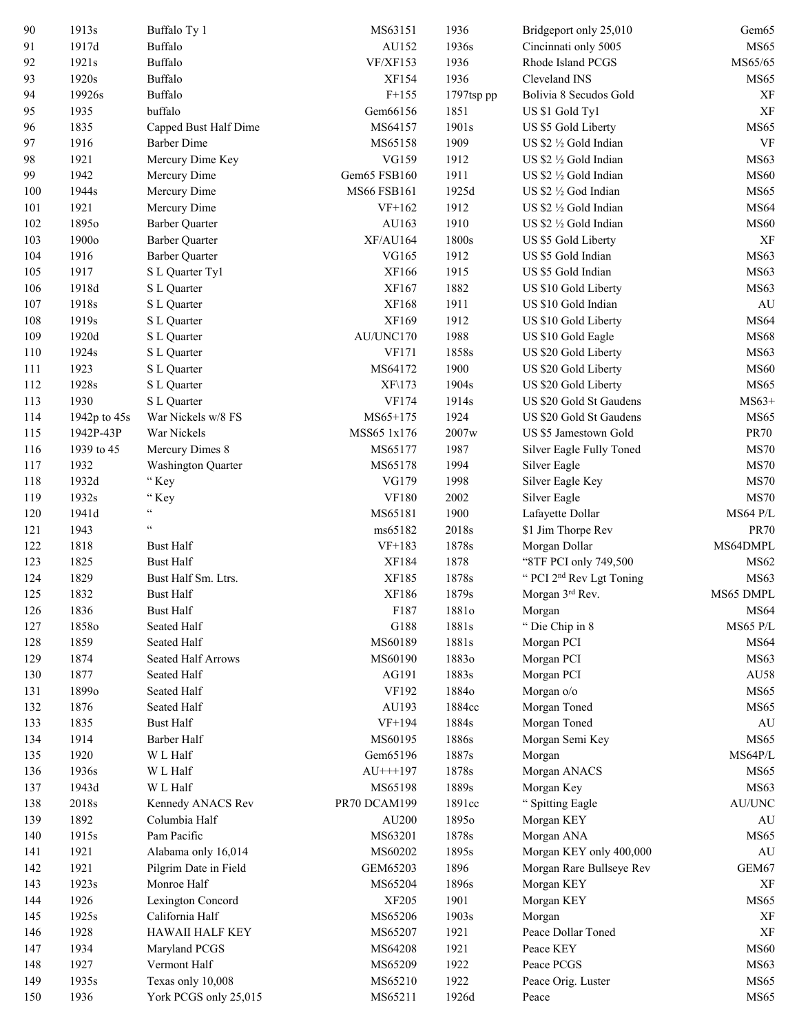| 90  | 1913s             | Buffalo Ty 1              | MS63151       | 1936       | Bridgeport only 25,010               | Gem <sub>65</sub>            |
|-----|-------------------|---------------------------|---------------|------------|--------------------------------------|------------------------------|
| 91  | 1917d             | Buffalo                   | AU152         | 1936s      | Cincinnati only 5005                 | MS65                         |
| 92  | 1921s             | Buffalo                   | VF/XF153      | 1936       | Rhode Island PCGS                    | MS65/65                      |
| 93  | 1920s             | Buffalo                   | XF154         | 1936       | Cleveland INS                        | MS65                         |
| 94  | 19926s            | Buffalo                   | $F+155$       | 1797tsp pp | Bolivia 8 Secudos Gold               | XF                           |
| 95  | 1935              | buffalo                   | Gem66156      | 1851       | US \$1 Gold Tyl                      | XF                           |
| 96  | 1835              | Capped Bust Half Dime     | MS64157       | 1901s      | US \$5 Gold Liberty                  | MS65                         |
| 97  | 1916              | <b>Barber Dime</b>        | MS65158       | 1909       | US \$2 1/2 Gold Indian               | VF                           |
| 98  | 1921              | Mercury Dime Key          | VG159         | 1912       | US \$2 1/2 Gold Indian               | MS63                         |
| 99  | 1942              | Mercury Dime              | Gem65 FSB160  | 1911       | US \$2 1/2 Gold Indian               | <b>MS60</b>                  |
| 100 | 1944 <sub>s</sub> | Mercury Dime              | MS66 FSB161   | 1925d      | US \$2 1/2 God Indian                | MS65                         |
| 101 | 1921              | Mercury Dime              | $VF+162$      | 1912       | US \$2 1/2 Gold Indian               | <b>MS64</b>                  |
| 102 | 1895 <sub>o</sub> | <b>Barber Quarter</b>     | AU163         | 1910       | US \$2 1/2 Gold Indian               | <b>MS60</b>                  |
| 103 | 1900 <sub>o</sub> | <b>Barber Quarter</b>     | XF/AU164      | 1800s      | US \$5 Gold Liberty                  | XF                           |
| 104 | 1916              | <b>Barber Quarter</b>     | VG165         | 1912       | US \$5 Gold Indian                   | MS63                         |
| 105 | 1917              | S L Quarter Tyl           | XF166         | 1915       | US \$5 Gold Indian                   | MS63                         |
| 106 | 1918d             | S L Quarter               | XF167         | 1882       | US \$10 Gold Liberty                 | MS63                         |
| 107 | 1918s             |                           | XF168         | 1911       | US \$10 Gold Indian                  | AU                           |
|     |                   | S L Quarter               | XF169         | 1912       |                                      | <b>MS64</b>                  |
| 108 | 1919 <sub>s</sub> | S L Quarter               |               |            | US \$10 Gold Liberty                 |                              |
| 109 | 1920d             | S L Quarter               | AU/UNC170     | 1988       | US \$10 Gold Eagle                   | <b>MS68</b>                  |
| 110 | 1924s             | S L Quarter               | VF171         | 1858s      | US \$20 Gold Liberty                 | MS <sub>63</sub>             |
| 111 | 1923              | S L Quarter               | MS64172       | 1900       | US \$20 Gold Liberty                 | <b>MS60</b>                  |
| 112 | 1928s             | S L Quarter               | XF\173        | 1904s      | US \$20 Gold Liberty                 | MS65                         |
| 113 | 1930              | S L Quarter               | VF174         | 1914s      | US \$20 Gold St Gaudens              | $MS63+$                      |
| 114 | 1942p to 45s      | War Nickels w/8 FS        | MS65+175      | 1924       | US \$20 Gold St Gaudens              | MS65                         |
| 115 | 1942P-43P         | War Nickels               | MSS65 1x176   | 2007w      | US \$5 Jamestown Gold                | <b>PR70</b>                  |
| 116 | 1939 to 45        | Mercury Dimes 8           | MS65177       | 1987       | Silver Eagle Fully Toned             | <b>MS70</b>                  |
| 117 | 1932              | <b>Washington Quarter</b> | MS65178       | 1994       | Silver Eagle                         | <b>MS70</b>                  |
| 118 | 1932d             | "Key                      | VG179         | 1998       | Silver Eagle Key                     | <b>MS70</b>                  |
| 119 | 1932s             | "Key                      | <b>VF180</b>  | 2002       | Silver Eagle                         | <b>MS70</b>                  |
| 120 | 1941d             | ĠĠ,                       | MS65181       | 1900       | Lafayette Dollar                     | <b>MS64 P/L</b>              |
| 121 | 1943              | $\zeta$ $\zeta$           | ms65182       | 2018s      | \$1 Jim Thorpe Rev                   | <b>PR70</b>                  |
| 122 | 1818              | <b>Bust Half</b>          | $VF+183$      | 1878s      | Morgan Dollar                        | MS64DMPL                     |
| 123 | 1825              | <b>Bust Half</b>          | XF184         | 1878       | "8TF PCI only 749,500                | <b>MS62</b>                  |
| 124 | 1829              | Bust Half Sm. Ltrs.       | XF185         | 1878s      | " PCI 2 <sup>nd</sup> Rev Lgt Toning | MS63                         |
| 125 | 1832              | <b>Bust Half</b>          | XF186         | 1879s      | Morgan 3rd Rev.                      | MS65 DMPL                    |
| 126 | 1836              | <b>Bust Half</b>          | F187          | 1881o      | Morgan                               | MS64                         |
| 127 | 18580             | Seated Half               | G188          | 1881s      | "Die Chip in 8                       | <b>MS65 P/L</b>              |
| 128 | 1859              | Seated Half               | MS60189       | 1881s      | Morgan PCI                           | <b>MS64</b>                  |
| 129 | 1874              | Seated Half Arrows        | MS60190       | 18830      | Morgan PCI                           | MS63                         |
| 130 | 1877              | Seated Half               | AG191         | 1883s      | Morgan PCI                           | AU58                         |
| 131 | 18990             | Seated Half               | VF192         | 18840      | Morgan o/o                           | MS65                         |
| 132 | 1876              | Seated Half               | AU193         | 1884cc     | Morgan Toned                         | <b>MS65</b>                  |
| 133 | 1835              | <b>Bust Half</b>          | $VF+194$      | 1884s      | Morgan Toned                         | AU                           |
| 134 | 1914              | Barber Half               | MS60195       | 1886s      | Morgan Semi Key                      | <b>MS65</b>                  |
| 135 | 1920              | W L Half                  | Gem65196      | 1887s      | Morgan                               | MS64P/L                      |
| 136 | 1936s             | W L Half                  | $AU^{+++}197$ | 1878s      | Morgan ANACS                         | MS65                         |
| 137 | 1943d             | W L Half                  | MS65198       | 1889s      | Morgan Key                           | MS63                         |
| 138 | 2018s             | Kennedy ANACS Rev         | PR70 DCAM199  | 1891cc     | " Spitting Eagle                     | $\mathrm{AU} / \mathrm{UNC}$ |
| 139 | 1892              | Columbia Half             | AU200         | 18950      | Morgan KEY                           | AU                           |
| 140 | 1915s             | Pam Pacific               | MS63201       | 1878s      | Morgan ANA                           | <b>MS65</b>                  |
| 141 | 1921              | Alabama only 16,014       | MS60202       | 1895s      | Morgan KEY only 400,000              | AU                           |
| 142 | 1921              | Pilgrim Date in Field     | GEM65203      | 1896       | Morgan Rare Bullseye Rev             | GEM67                        |
| 143 | 1923s             | Monroe Half               | MS65204       | 1896s      | Morgan KEY                           | XF                           |
| 144 | 1926              | Lexington Concord         | <b>XF205</b>  | 1901       | Morgan KEY                           | MS65                         |
| 145 | 1925s             | California Half           | MS65206       | 1903s      | Morgan                               | XF                           |
| 146 | 1928              | <b>HAWAII HALF KEY</b>    | MS65207       | 1921       | Peace Dollar Toned                   | XF                           |
| 147 | 1934              | Maryland PCGS             | MS64208       | 1921       | Peace KEY                            | <b>MS60</b>                  |
| 148 | 1927              | Vermont Half              | MS65209       | 1922       | Peace PCGS                           | MS63                         |
| 149 | 1935s             | Texas only 10,008         | MS65210       | 1922       |                                      | MS <sub>65</sub>             |
| 150 | 1936              | York PCGS only 25,015     | MS65211       | 1926d      | Peace Orig. Luster<br>Peace          | <b>MS65</b>                  |
|     |                   |                           |               |            |                                      |                              |